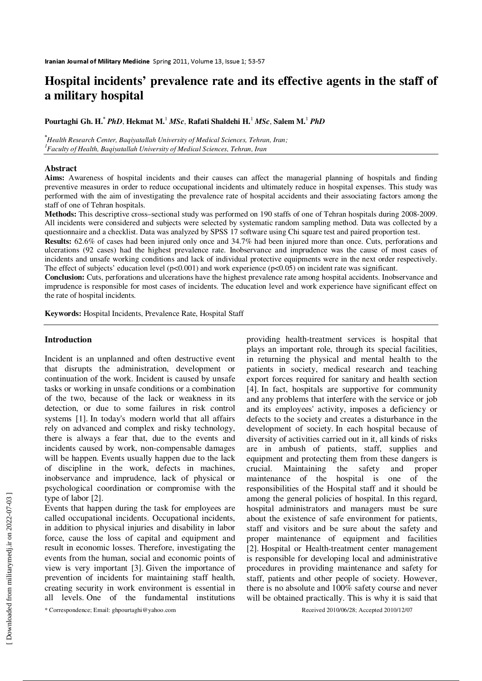# **Hospital incidents' prevalence rate and its effective agents in the staff of a military hospital**

**Pourtaghi Gh. H.\***  *PhD*, **Hekmat M.**<sup>1</sup> *MSc*, **Rafati Shaldehi H.**<sup>1</sup> *MSc*, **Salem M.**<sup>1</sup> *PhD*

**\****Health Research Center, Baqiyatallah University of Medical Sciences, Tehran, Iran; 1 Faculty of Health, Baqiyatallah University of Medical Sciences, Tehran, Iran*

### **Abstract**

**Aims:** Awareness of hospital incidents and their causes can affect the managerial planning of hospitals and finding preventive measures in order to reduce occupational incidents and ultimately reduce in hospital expenses. This study was performed with the aim of investigating the prevalence rate of hospital accidents and their associating factors among the staff of one of Tehran hospitals.

**Methods:** This descriptive cross–sectional study was performed on 190 staffs of one of Tehran hospitals during 2008-2009. All incidents were considered and subjects were selected by systematic random sampling method. Data was collected by a questionnaire and a checklist. Data was analyzed by SPSS 17 software using Chi square test and paired proportion test.

**Results:** 62.6% of cases had been injured only once and 34.7% had been injured more than once. Cuts, perforations and ulcerations (92 cases) had the highest prevalence rate. Inobservance and imprudence was the cause of most cases of incidents and unsafe working conditions and lack of individual protective equipments were in the next order respectively. The effect of subjects' education level ( $p<0.001$ ) and work experience ( $p<0.05$ ) on incident rate was significant.

**Conclusion:** Cuts, perforations and ulcerations have the highest prevalence rate among hospital accidents. Inobservance and imprudence is responsible for most cases of incidents. The education level and work experience have significant effect on the rate of hospital incidents.

**Keywords:** Hospital Incidents, Prevalence Rate, Hospital Staff

## **Introduction**

Incident is an unplanned and often destructive event that disrupts the administration, development or continuation of the work. Incident is caused by unsafe tasks or working in unsafe conditions or a combination of the two, because of the lack or weakness in its detection, or due to some failures in risk control systems [1]. In today's modern world that all affairs rely on advanced and complex and risky technology, there is always a fear that, due to the events and incidents caused by work, non-compensable damages will be happen. Events usually happen due to the lack of discipline in the work, defects in machines, inobservance and imprudence, lack of physical or psychological coordination or compromise with the type of labor [2].

Events that happen during the task for employees are called occupational incidents. Occupational incidents, in addition to physical injuries and disability in labor force, cause the loss of capital and equipment and result in economic losses. Therefore, investigating the events from the human, social and economic points of view is very important [3]. Given the importance of prevention of incidents for maintaining staff health, creating security in work environment is essential in all levels. One of the fundamental institutions plays an important role, through its special facilities, in returning the physical and mental health to the patients in society, medical research and teaching export forces required for sanitary and health section [4]. In fact, hospitals are supportive for community and any problems that interfere with the service or job and its employees' activity, imposes a deficiency or defects to the society and creates a disturbance in the development of society. In each hospital because of diversity of activities carried out in it, all kinds of risks are in ambush of patients, staff, supplies and equipment and protecting them from these dangers is crucial. Maintaining the safety and proper maintenance of the hospital is one of the responsibilities of the Hospital staff and it should be among the general policies of hospital. In this regard, hospital administrators and managers must be sure about the existence of safe environment for patients, staff and visitors and be sure about the safety and proper maintenance of equipment and facilities [2]. Hospital or Health-treatment center management is responsible for developing local and administrative procedures in providing maintenance and safety for staff, patients and other people of society. However, there is no absolute and 100% safety course and never will be obtained practically. This is why it is said that

providing health-treatment services is hospital that

\* Correspondence; Email: ghpourtaghi@yahoo.com Received 2010/06/28; Accepted 2010/12/07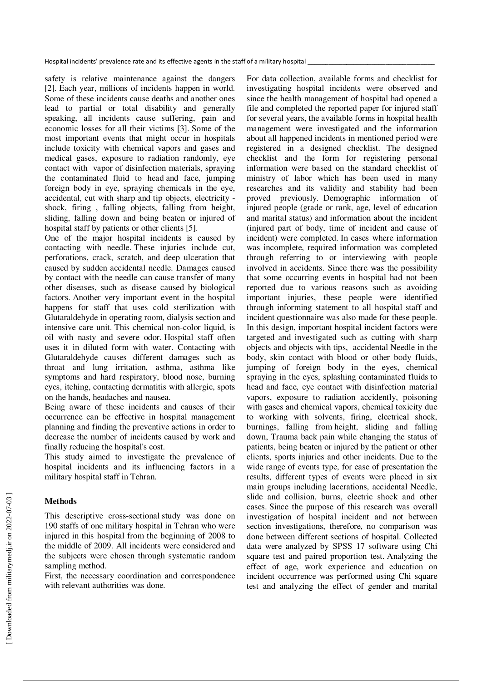safety is relative maintenance against the dangers [2]. Each year, millions of incidents happen in world. Some of these incidents cause deaths and another ones lead to partial or total disability and generally speaking, all incidents cause suffering, pain and economic losses for all their victims [3]. Some of the most important events that might occur in hospitals include toxicity with chemical vapors and gases and medical gases, exposure to radiation randomly, eye contact with vapor of disinfection materials, spraying the contaminated fluid to head and face, jumping foreign body in eye, spraying chemicals in the eye, accidental, cut with sharp and tip objects, electricity shock, firing , falling objects, falling from height, sliding, falling down and being beaten or injured of hospital staff by patients or other clients [5].

One of the major hospital incidents is caused by contacting with needle. These injuries include cut, perforations, crack, scratch, and deep ulceration that caused by sudden accidental needle. Damages caused by contact with the needle can cause transfer of many other diseases, such as disease caused by biological factors. Another very important event in the hospital happens for staff that uses cold sterilization with Glutaraldehyde in operating room, dialysis section and intensive care unit. This chemical non-color liquid, is oil with nasty and severe odor. Hospital staff often uses it in diluted form with water. Contacting with Glutaraldehyde causes different damages such as throat and lung irritation, asthma, asthma like symptoms and hard respiratory, blood nose, burning eyes, itching, contacting dermatitis with allergic, spots on the hands, headaches and nausea.

Being aware of these incidents and causes of their occurrence can be effective in hospital management planning and finding the preventive actions in order to decrease the number of incidents caused by work and finally reducing the hospital's cost.

This study aimed to investigate the prevalence of hospital incidents and its influencing factors in a military hospital staff in Tehran.

## **Methods**

This descriptive cross-sectional study was done on 190 staffs of one military hospital in Tehran who were injured in this hospital from the beginning of 2008 to the middle of 2009. All incidents were considered and the subjects were chosen through systematic random sampling method.

First, the necessary coordination and correspondence with relevant authorities was done.

For data collection, available forms and checklist for investigating hospital incidents were observed and since the health management of hospital had opened a file and completed the reported paper for injured staff for several years, the available forms in hospital health management were investigated and the information about all happened incidents in mentioned period were registered in a designed checklist. The designed checklist and the form for registering personal information were based on the standard checklist of ministry of labor which has been used in many researches and its validity and stability had been proved previously. Demographic information of injured people (grade or rank, age, level of education and marital status) and information about the incident (injured part of body, time of incident and cause of incident) were completed. In cases where information was incomplete, required information was completed through referring to or interviewing with people involved in accidents. Since there was the possibility that some occurring events in hospital had not been reported due to various reasons such as avoiding important injuries, these people were identified through informing statement to all hospital staff and incident questionnaire was also made for these people. In this design, important hospital incident factors were targeted and investigated such as cutting with sharp objects and objects with tips, accidental Needle in the body, skin contact with blood or other body fluids, jumping of foreign body in the eyes, chemical spraying in the eyes, splashing contaminated fluids to head and face, eye contact with disinfection material vapors, exposure to radiation accidently, poisoning with gases and chemical vapors, chemical toxicity due to working with solvents, firing, electrical shock, burnings, falling from height, sliding and falling down, Trauma back pain while changing the status of patients, being beaten or injured by the patient or other clients, sports injuries and other incidents. Due to the wide range of events type, for ease of presentation the results, different types of events were placed in six main groups including lacerations, accidental Needle, slide and collision, burns, electric shock and other cases. Since the purpose of this research was overall investigation of hospital incident and not between section investigations, therefore, no comparison was done between different sections of hospital. Collected data were analyzed by SPSS 17 software using Chi square test and paired proportion test. Analyzing the effect of age, work experience and education on incident occurrence was performed using Chi square test and analyzing the effect of gender and marital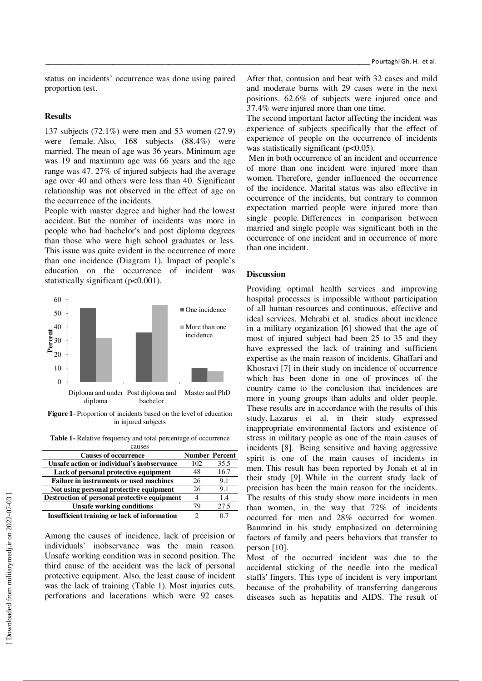status on incidents' occurrence was done using paired proportion test.

## **Results**

137 subjects (72.1%) were men and 53 women (27.9) were female. Also, 168 subjects (88.4%) were married. The mean of age was 36 years. Minimum age was 19 and maximum age was 66 years and the age range was 47. 27% of injured subjects had the average age over 40 and others were less than 40. Significant relationship was not observed in the effect of age on the occurrence of the incidents.

People with master degree and higher had the lowest accident. But the number of incidents was more in people who had bachelor's and post diploma degrees than those who were high school graduates or less. This issue was quite evident in the occurrence of more than one incidence (Diagram 1). Impact of people`s education on the occurrence of incident was statistically significant (p<0.001).



**Figure 1**- Proportion of incidents based on the level of education in injured subjects

**Table 1-** Relative frequency and total percentage of occurrence causes

| <u>Causs</u>                                   |                       |      |
|------------------------------------------------|-----------------------|------|
| <b>Causes of occurrence</b>                    | <b>Number Percent</b> |      |
| Unsafe action or individual's inobservance     | 102                   | 35.5 |
| Lack of personal protective equipment          | 48                    | 16.7 |
| <b>Failure in instruments or used machines</b> | 26                    | 9.1  |
| Not using personal protective equipment        | 26                    | 9.1  |
| Destruction of personal protective equipment   |                       | 1.4  |
| <b>Unsafe working conditions</b>               | 79                    | 27.5 |
| Insufficient training or lack of information   |                       |      |

Among the causes of incidence, lack of precision or individuals' inobservance was the main reason. Unsafe working condition was in second position. The third cause of the accident was the lack of personal protective equipment. Also, the least cause of incident was the lack of training (Table 1). Most injuries cuts, perforations and lacerations which were 92 cases.

After that, contusion and beat with 32 cases and mild and moderate burns with 29 cases were in the next positions. 62.6% of subjects were injured once and 37.4% were injured more than one time.

The second important factor affecting the incident was experience of subjects specifically that the effect of experience of people on the occurrence of incidents was statistically significant  $(p<0.05)$ .

 Men in both occurrence of an incident and occurrence of more than one incident were injured more than women. Therefore, gender influenced the occurrence of the incidence. Marital status was also effective in occurrence of the incidents, but contrary to common expectation married people were injured more than single people. Differences in comparison between married and single people was significant both in the occurrence of one incident and in occurrence of more than one incident.

### **Discussion**

Providing optimal health services and improving hospital processes is impossible without participation of all human resources and continuous, effective and ideal services. Mehrabi et al. studies about incidence in a military organization [6] showed that the age of most of injured subject had been 25 to 35 and they have expressed the lack of training and sufficient expertise as the main reason of incidents. Ghaffari and Khosravi [7] in their study on incidence of occurrence which has been done in one of provinces of the country came to the conclusion that incidences are more in young groups than adults and older people. These results are in accordance with the results of this study. Lazarus et al. in their study expressed inappropriate environmental factors and existence of stress in military people as one of the main causes of incidents [8]. Being sensitive and having aggressive spirit is one of the main causes of incidents in men. This result has been reported by Jonah et al in their study [9]. While in the current study lack of precision has been the main reason for the incidents. The results of this study show more incidents in men than women, in the way that 72% of incidents occurred for men and 28% occurred for women. Baumrind in his study emphasized on determining factors of family and peers behaviors that transfer to person [10].

Most of the occurred incident was due to the accidental sticking of the needle into the medical staffs' fingers. This type of incident is very important because of the probability of transferring dangerous diseases such as hepatitis and AIDS. The result of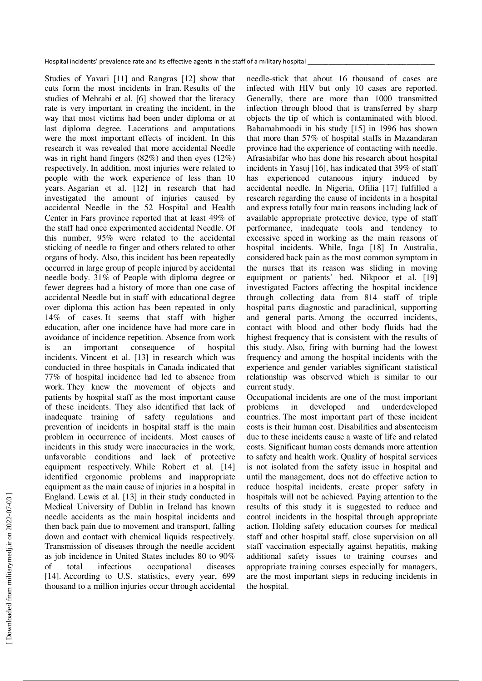Studies of Yavari [11] and Rangras [12] show that cuts form the most incidents in Iran. Results of the studies of Mehrabi et al. [6] showed that the literacy rate is very important in creating the incident, in the way that most victims had been under diploma or at last diploma degree. Lacerations and amputations were the most important effects of incident. In this research it was revealed that more accidental Needle was in right hand fingers (82%) and then eyes (12%) respectively. In addition, most injuries were related to people with the work experience of less than 10 years. Asgarian et al. [12] in research that had investigated the amount of injuries caused by accidental Needle in the 52 Hospital and Health Center in Fars province reported that at least 49% of the staff had once experimented accidental Needle. Of this number, 95% were related to the accidental sticking of needle to finger and others related to other organs of body. Also, this incident has been repeatedly occurred in large group of people injured by accidental needle body. 31% of People with diploma degree or fewer degrees had a history of more than one case of accidental Needle but in staff with educational degree over diploma this action has been repeated in only 14% of cases. It seems that staff with higher education, after one incidence have had more care in avoidance of incidence repetition. Absence from work is an important consequence of hospital incidents. Vincent et al. [13] in research which was conducted in three hospitals in Canada indicated that 77% of hospital incidence had led to absence from work. They knew the movement of objects and patients by hospital staff as the most important cause of these incidents. They also identified that lack of inadequate training of safety regulations and prevention of incidents in hospital staff is the main problem in occurrence of incidents. Most causes of incidents in this study were inaccuracies in the work, unfavorable conditions and lack of protective equipment respectively. While Robert et al. [14] identified ergonomic problems and inappropriate equipment as the main cause of injuries in a hospital in England. Lewis et al. [13] in their study conducted in Medical University of Dublin in Ireland has known needle accidents as the main hospital incidents and then back pain due to movement and transport, falling down and contact with chemical liquids respectively. Transmission of diseases through the needle accident as job incidence in United States includes 80 to 90% of total infectious occupational diseases [14]. According to U.S. statistics, every year, 699 thousand to a million injuries occur through accidental

needle-stick that about 16 thousand of cases are infected with HIV but only 10 cases are reported. Generally, there are more than 1000 transmitted infection through blood that is transferred by sharp objects the tip of which is contaminated with blood. Babamahmoodi in his study [15] in 1996 has shown that more than 57% of hospital staffs in Mazandaran province had the experience of contacting with needle. Afrasiabifar who has done his research about hospital incidents in Yasuj [16], has indicated that 39% of staff has experienced cutaneous injury induced by accidental needle. In Nigeria, Ofilia [17] fulfilled a research regarding the cause of incidents in a hospital and express totally four main reasons including lack of available appropriate protective device, type of staff performance, inadequate tools and tendency to excessive speed in working as the main reasons of hospital incidents. While, Inga [18] In Australia, considered back pain as the most common symptom in the nurses that its reason was sliding in moving equipment or patients' bed. Nikpoor et al. [19] investigated Factors affecting the hospital incidence through collecting data from 814 staff of triple hospital parts diagnostic and paraclinical, supporting and general parts. Among the occurred incidents, contact with blood and other body fluids had the highest frequency that is consistent with the results of this study. Also, firing with burning had the lowest frequency and among the hospital incidents with the experience and gender variables significant statistical relationship was observed which is similar to our current study.

Occupational incidents are one of the most important problems in developed and underdeveloped countries. The most important part of these incident costs is their human cost. Disabilities and absenteeism due to these incidents cause a waste of life and related costs. Significant human costs demands more attention to safety and health work. Quality of hospital services is not isolated from the safety issue in hospital and until the management, does not do effective action to reduce hospital incidents, create proper safety in hospitals will not be achieved. Paying attention to the results of this study it is suggested to reduce and control incidents in the hospital through appropriate action. Holding safety education courses for medical staff and other hospital staff, close supervision on all staff vaccination especially against hepatitis, making additional safety issues to training courses and appropriate training courses especially for managers, are the most important steps in reducing incidents in the hospital.